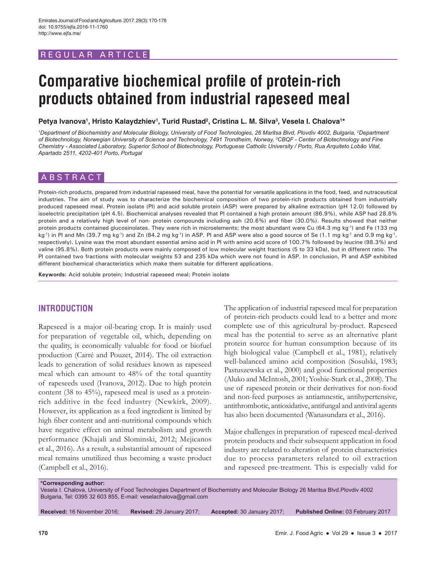# REGULAR ARTICLE

# **Comparative biochemical profile of protein-rich products obtained from industrial rapeseed meal**

Petya Ivanova<sup>1</sup>, Hristo Kalaydzhiev<sup>1</sup>, Turid Rustad<sup>2</sup>, Cristina L. M. Silva<sup>3</sup>, Vesela I. Chalova<sup>1</sup>\*

<sup>1</sup>Department of Biochemistry and Molecular Biology, University of Food Technologies, 26 Maritsa Blvd, Plovdiv 4002, Bulgaria, <sup>2</sup>Department *of Biotechnology, Norwegian University of Science and Technology, 7491 Trondheim, Norway, 3 CBQF - Center of Biotechnology and Fine Chemistry - Associated Laboratory, Superior School of Biotechnology, Portuguese Catholic University / Porto, Rua Arquiteto Lobão Vital, Apartado 2511, 4202-401 Porto, Portugal*

# ABSTRACT

Protein-rich products, prepared from industrial rapeseed meal, have the potential for versatile applications in the food, feed, and nutraceutical industries. The aim of study was to characterize the biochemical composition of two protein-rich products obtained from industrially produced rapeseed meal. Protein isolate (PI) and acid soluble protein (ASP) were prepared by alkaline extraction (pH 12.0) followed by isoelectric precipitation (pH 4.5). Biochemical analyses revealed that PI contained a high protein amount (86.9%), while ASP had 28.8% protein and a relatively high level of non- protein compounds including ash (20.6%) and fiber (30.0%). Results showed that neither protein products contained glucosinolates. They were rich in microelements; the most abundant were Cu (64.3 mg kg<sup>-1</sup>) and Fe (133 mg kg<sup>-1</sup>) in PI and Mn (39.7 mg kg<sup>-1</sup>) and Zn (84.2 mg kg<sup>-1</sup>) in ASP. PI and ASP were also a good source of Se (1.1 mg kg<sup>-1</sup> and 0.9 mg kg<sup>-1</sup>, respectively). Lysine was the most abundant essential amino acid in PI with amino acid score of 100.7% followed by leucine (98.3%) and valine (95.8%). Both protein products were mainly composed of low molecular weight fractions (5 to 33 kDa), but in different ratio. The PI contained two fractions with molecular weights 53 and 235 kDa which were not found in ASP. In conclusion, PI and ASP exhibited different biochemical characteristics which make them suitable for different applications.

**Keywords:** Acid soluble protein; Industrial rapeseed meal; Protein isolate

# **INTRODUCTION**

Rapeseed is a major oil-bearing crop. It is mainly used for preparation of vegetable oil, which, depending on the quality, is economically valuable for food or biofuel production (Carré and Pouzet, 2014). The oil extraction leads to generation of solid residues known as rapeseed meal which can amount to 48% of the total quantity of rapeseeds used (Ivanova, 2012). Due to high protein content (38 to 45%), rapeseed meal is used as a proteinrich additive in the feed industry (Newkirk, 2009). However, its application as a feed ingredient is limited by high fiber content and anti-nutritional compounds which have negative effect on animal metabolism and growth performance (Khajali and Slominski, 2012; Mejicanos et al., 2016). As a result, a substantial amount of rapeseed meal remains unutilized thus becoming a waste product (Campbell et al., 2016).

The application of industrial rapeseed meal for preparation of protein-rich products could lead to a better and more complete use of this agricultural by-product. Rapeseed meal has the potential to serve as an alternative plant protein source for human consumption because of its high biological value (Campbell et al., 1981), relatively well-balanced amino acid composition (Sosulski, 1983; Pastuszewska et al., 2000) and good functional properties (Aluko and McIntosh, 2001; Yoshie-Stark et al., 2008). The use of rapeseed protein or their derivatives for non-food and non-feed purposes as antiamnestic, antihypertensive, antithrombotic, antioxidative, antifungal and antiviral agents has also been documented (Wanasundara et al., 2016).

Major challenges in preparation of rapeseed meal-derived protein products and their subsequent application in food industry are related to alteration of protein characteristics due to process parameters related to oil extraction and rapeseed pre-treatment. This is especially valid for

**\*Corresponding author:** Vesela I. Chalova, University of Food Technologies Department of Biochemistry and Molecular Biology 26 Maritsa Blvd.Plovdiv 4002 Bulgaria, Tel: 0395 32 603 855, E-mail: veselachalova@gmail.com

**Received:** 16 November 2016; **Revised:** 29 January 2017; **Accepted:** 30 January 2017; **Published Online:** 03 February 2017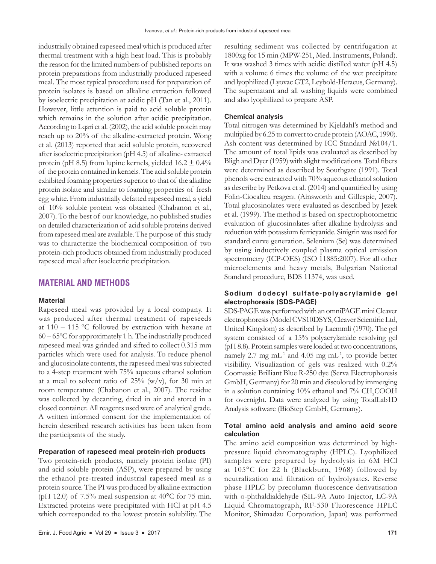industrially obtained rapeseed meal which is produced after thermal treatment with a high heat load. This is probably the reason for the limited numbers of published reports on protein preparations from industrially produced rapeseed meal. The most typical procedure used for preparation of protein isolates is based on alkaline extraction followed by isoelectric precipitation at acidic pH (Tan et al., 2011). However, little attention is paid to acid soluble protein which remains in the solution after acidic precipitation. According to Lqari et al. (2002), the acid soluble protein may reach up to 20% of the alkaline-extracted protein. Wong et al. (2013) reported that acid soluble protein, recovered after isoelectric precipitation (pH 4.5) of alkaline- extracted protein (pH 8.5) from lupine kernels, yielded  $16.2 \pm 0.4\%$ of the protein contained in kernels. The acid soluble protein exhibited foaming properties superior to that of the alkaline protein isolate and similar to foaming properties of fresh egg white. From industrially defatted rapeseed meal, a yield of 10% soluble protein was obtained (Chabanon et al., 2007). To the best of our knowledge, no published studies on detailed characterization of acid soluble proteins derived from rapeseed meal are available. The purpose of this study was to characterize the biochemical composition of two protein-rich products obtained from industrially produced rapeseed meal after isoelectric precipitation.

#### **MATERIAL AND METHODS**

#### **Material**

Rapeseed meal was provided by a local company. It was produced after thermal treatment of rapeseeds at 110 – 115 ºС followed by extraction with hexane at 60 – 65ºС for approximately 1 h. The industrially produced rapeseed meal was grinded and sifted to collect 0.315 mm particles which were used for analysis. To reduce phenol and glucosinolate contents, the rapeseed meal was subjected to a 4-step treatment with 75% aqueous ethanol solution at a meal to solvent ratio of  $25\%$  (w/v), for 30 min at room temperature (Chabanon et al., 2007). The residue was collected by decanting, dried in air and stored in a closed container. All reagents used were of analytical grade. A written informed consent for the implementation of herein described research activities has been taken from the participants of the study.

#### **Preparation of rapeseed meal protein-rich products**

Two protein-rich products, namely protein isolate (PI) and acid soluble protein (ASP), were prepared by using the ethanol pre-treated industrial rapeseed meal as a protein source. The PI was produced by alkaline extraction (pH 12.0) of 7.5% meal suspension at  $40^{\circ}$ C for 75 min. Extracted proteins were precipitated with HCl at pH 4.5 which corresponded to the lowest protein solubility. The resulting sediment was collected by centrifugation at 1800xg for 15 min (MPW-251, Med. Instruments, Poland). It was washed 3 times with acidic distilled water (pH 4.5) with a volume 6 times the volume of the wet precipitate and lyophilized (Lyovac GT2, Leybold-Heraeus, Germany). The supernatant and all washing liquids were combined and also lyophilized to prepare ASP.

#### **Chemical analysis**

Total nitrogen was determined by Kjeldahl's method and multiplied by 6.25 to convert to crude protein (AOAC, 1990). Ash content was determined by ICC Standard №104/1. The amount of total lipids was evaluated as described by Bligh and Dyer (1959) with slight modifications. Total fibers were determined as described by Southgate (1991). Total phenols were extracted with 70% aqueous ethanol solution as describe by Petkova et al. (2014) and quantified by using Folin-Ciocalteu reagent (Ainsworth and Gillespie, 2007). Total glucosinolates were evaluated as described by Jezek et al. (1999). The method is based on spectrophotometric evaluation of glucosinolates after alkaline hydrolysis and reduction with potassium ferricyanide. Sinigrin was used for standard curve generation. Selenium (Se) was determined by using inductively coupled plasma optical emission spectrometry (ICP-OES) (ISO 11885:2007). For all other microelements and heavy metals, Bulgarian National Standard procedure, BDS 11374, was used.

#### **Sodium dodecyl sulfate-polyacrylamide gel electrophoresis (SDS-PAGE)**

SDS-PAGE was performed with an omniPAGE mini Cleaver electrophoresis (Model CVS10DSYS, Cleaver Scientific Ltd, United Kingdom) as described by Laemmli (1970). The gel system consisted of a 15% polyacrylamide resolving gel (pH 8.8). Protein samples were loaded at two concentrations, namely 2.7 mg m $L^{-1}$  and 4.05 mg m $L^{-1}$ , to provide better visibility. Visualization of gels was realized with 0.2% Coomassie Brilliant Blue R-250 dye (Serva Electrophoresis GmbH, Germany) for 20 min and discolored by immerging in a solution containing  $10\%$  ethanol and  $7\%$  CH<sub>3</sub>COOH for overnight. Data were analyzed by using TotalLab1D Analysis software (BioStep GmbH, Germany).

#### **Total amino acid analysis and amino acid score calculation**

The amino acid composition was determined by highpressure liquid chromatography (HPLC). Lyophilized samples were prepared by hydrolysis in 6M HCl at 105°C for 22 h (Blackburn, 1968) followed by neutralization and filtration of hydrolysates. Reverse phase HPLC by precolumn fluorescence derivatisation with o-phthaldialdehyde (SIL-9A Auto Injector, LC-9A Liquid Chromatograph, RF-530 Fluorescence HPLC Monitor, Shimadzu Corporation, Japan) was performed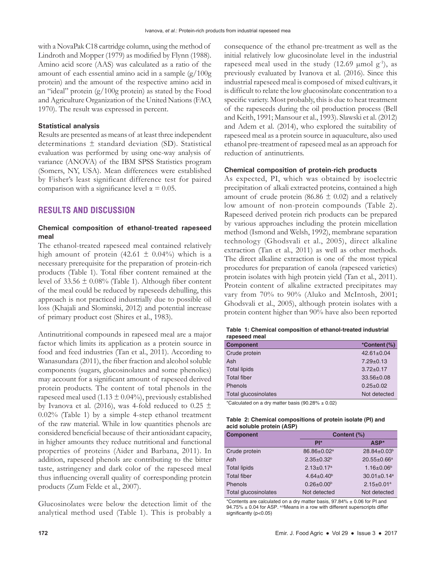with a NovaPak C18 cartridge column, using the method of Lindroth and Mopper (1979) as modified by Flynn (1988). Amino acid score (AAS) was calculated as a ratio of the amount of each essential amino acid in a sample (g/100g protein) and the amount of the respective amino acid in an "ideal" protein (g/100g protein) as stated by the Food and Agriculture Organization of the United Nations (FAO, 1970). The result was expressed in percent.

#### **Statistical analysis**

Results are presented as means of at least three independent determinations  $\pm$  standard deviation (SD). Statistical evaluation was performed by using one-way analysis of variance (ANOVA) of the IBM SPSS Statistics program (Somers, NY, USA). Mean differences were established by Fisher's least significant difference test for paired comparison with a significance level  $\alpha = 0.05$ .

# **RESULTS AND DISCUSSION**

## **Chemical composition of ethanol-treated rapeseed meal**

The ethanol-treated rapeseed meal contained relatively high amount of protein (42.61  $\pm$  0.04%) which is a necessary prerequisite for the preparation of protein-rich products (Table 1). Total fiber content remained at the level of  $33.56 \pm 0.08\%$  (Table 1). Although fiber content of the meal could be reduced by rapeseeds dehulling, this approach is not practiced industrially due to possible oil loss (Khajali and Slominski, 2012) and potential increase of primary product cost (Shires et al., 1983).

Antinutritional compounds in rapeseed meal are a major factor which limits its application as a protein source in food and feed industries (Tan et al., 2011). According to Wanasundara (2011), the fiber fraction and alcohol soluble components (sugars, glucosinolates and some phenolics) may account for a significant amount of rapeseed derived protein products. The content of total phenols in the rapeseed meal used (1.13  $\pm$  0.04%), previously established by Ivanova et al. (2016), was 4-fold reduced to 0.25  $\pm$ 0.02% (Table 1) by a simple 4-step ethanol treatment of the raw material. While in low quantities phenols are considered beneficial because of their antioxidant capacity, in higher amounts they reduce nutritional and functional properties of proteins (Aider and Barbana, 2011). In addition, rapeseed phenols are contributing to the bitter taste, astringency and dark color of the rapeseed meal thus influencing overall quality of corresponding protein products (Zum Felde et al., 2007).

Glucosinolates were below the detection limit of the analytical method used (Table 1). This is probably a consequence of the ethanol pre-treatment as well as the initial relatively low glucosinolate level in the industrial rapeseed meal used in the study  $(12.69 \mu \text{mol g}^{-1})$ , as previously evaluated by Ivanova et al. (2016). Since this industrial rapeseed meal is composed of mixed cultivars, it is difficult to relate the low glucosinolate concentration to a specific variety. Most probably, this is due to heat treatment of the rapeseeds during the oil production process (Bell and Keith, 1991; Mansour et al., 1993). Slawski et al. (2012) and Adem et al. (2014), who explored the suitability of rapeseed meal as a protein source in aquaculture, also used ethanol pre-treatment of rapeseed meal as an approach for reduction of antinutrients.

### **Chemical composition of protein-rich products**

As expected, PI, which was obtained by isoelectric precipitation of alkali extracted proteins, contained a high amount of crude protein (86.86  $\pm$  0.02) and a relatively low amount of non-protein compounds (Table 2). Rapeseed derived protein rich products can be prepared by various approaches including the protein micellation method (Ismond and Welsh, 1992), membrane separation technology (Ghodsvali et al., 2005), direct alkaline extraction (Tan et al., 2011) as well as other methods. The direct alkaline extraction is one of the most typical procedures for preparation of canola (rapeseed varieties) protein isolates with high protein yield (Tan et al., 2011). Protein content of alkaline extracted precipitates may vary from 70% to 90% (Aluko and McIntosh, 2001; Ghodsvali et al., 2005), although protein isolates with a protein content higher than 90% have also been reported

| rapeseed meal        |                  |
|----------------------|------------------|
| <b>Component</b>     | *Content (%)     |
| Crude protein        | $42.61 \pm 0.04$ |
| Ash                  | $7.29 \pm 0.13$  |
| <b>Total lipids</b>  | $3.72 \pm 0.17$  |
| <b>Total fiber</b>   | $33.56 \pm 0.08$ |
| Phenols              | $0.25+0.02$      |
| Total glucosinolates | Not detected     |

**Table 1: Chemical composition of ethanol‑treated industrial rapeseed meal**

\*Calculated on a dry matter basis  $(90.28\% \pm 0.02)$ 

| Table 2: Chemical compositions of protein isolate (PI) and |  |
|------------------------------------------------------------|--|
| acid soluble protein (ASP)                                 |  |

| <b>Component</b>     | Content (%)                  |                               |
|----------------------|------------------------------|-------------------------------|
|                      | $PI^*$                       | ASP*                          |
| Crude protein        | 86.86±0.02 <sup>a</sup>      | 28.84±0.03 <sup>b</sup>       |
| Ash                  | $2.35 \pm 0.32^b$            | 20.55±0.66 <sup>a</sup>       |
| <b>Total lipids</b>  | $2.13 \pm 0.17$ <sup>a</sup> | $1.16 \pm 0.06^b$             |
| <b>Total fiber</b>   | $4.64 \pm 0.40^b$            | $30.01 \pm 0.14$ <sup>a</sup> |
| <b>Phenols</b>       | $0.26 \pm 0.00^b$            | $2.15 \pm 0.01^a$             |
| Total glucosinolates | Not detected                 | Not detected                  |

\*Contents are calculated on a dry matter basis, 97.84% ± 0.06 for PI and  $94.75\% \pm 0.04$  for ASP. a,bMeans in a row with different superscripts differ significantly (p<0.05)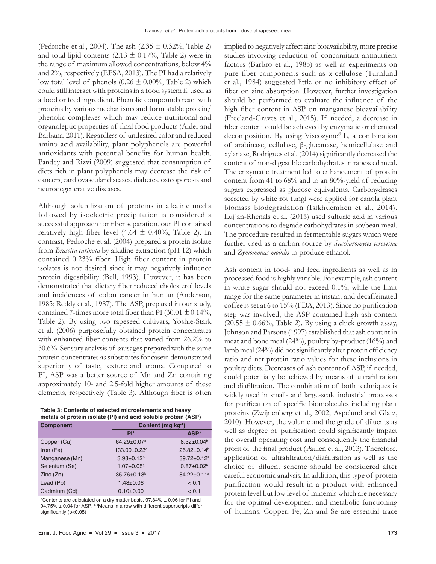(Pedroche et al., 2004). The ash  $(2.35 \pm 0.32\%$ , Table 2) and total lipid contents  $(2.13 \pm 0.17\%)$ , Table 2) were in the range of maximum allowed concentrations, below 4% and 2%, respectively (EFSA, 2013). The PI had a relatively low total level of phenols  $(0.26 \pm 0.00\%$ , Table 2) which could still interact with proteins in a food system if used as a food or feed ingredient. Phenolic compounds react with proteins by various mechanisms and form stable protein/ phenolic complexes which may reduce nutritional and organoleptic properties of final food products (Aider and Barbana, 2011). Regardless of undesired color and reduced amino acid availability, plant polyphenols are powerful antioxidants with potential benefits for human health. Pandey and Rizvi (2009) suggested that consumption of diets rich in plant polyphenols may decrease the risk of cancers, cardiovascular diseases, diabetes, osteoporosis and neurodegenerative diseases.

Although solubilization of proteins in alkaline media followed by isoelectric precipitation is considered a successful approach for fiber separation, our PI contained relatively high fiber level  $(4.64 \pm 0.40\%,$  Table 2). In contrast, Pedroche et al. (2004) prepared a protein isolate from *Brassica carinata* by alkaline extraction (pH 12) which contained 0.23% fiber. High fiber content in protein isolates is not desired since it may negatively influence protein digestibility (Bell, 1993). However, it has been demonstrated that dietary fiber reduced cholesterol levels and incidences of colon cancer in human (Anderson, 1985; Reddy et al., 1987). The ASP, prepared in our study, contained 7-times more total fiber than PI (30.01  $\pm$  0.14%, Table 2). By using two rapeseed cultivars, Yoshie-Stark et al. (2006) purposefully obtained protein concentrates with enhanced fiber contents that varied from 26.2% to 30.6%. Sensory analysis of sausages prepared with the same protein concentrates as substitutes for casein demonstrated superiority of taste, texture and aroma. Compared to PI, ASP was a better source of Mn and Zn containing approximately 10- and 2.5-fold higher amounts of these elements, respectively (Table 3). Although fiber is often

**Table 3: Contents of selected microelements and heavy metals of protein isolate (PI) and acid soluble protein (ASP)**

| <b>Component</b> |                          | Content (mg kg <sup>-1</sup> ) |  |
|------------------|--------------------------|--------------------------------|--|
|                  | $PI*$                    | ASP*                           |  |
| Copper (Cu)      | 64.29±0.07 <sup>a</sup>  | $8.32 \pm 0.04^b$              |  |
| Iron (Fe)        | 133.00±0.23 <sup>a</sup> | 26.82±0.14 <sup>b</sup>        |  |
| Manganese (Mn)   | $3.98 \pm 0.12^b$        | 39.72±0.12 <sup>a</sup>        |  |
| Selenium (Se)    | $1.07 \pm 0.05^a$        | $0.87 \pm 0.02^b$              |  |
| Zinc(Zn)         | 35.76±0.18 <sup>b</sup>  | 84.22±0.11 <sup>a</sup>        |  |
| Lead (Pb)        | $1.48 + 0.06$            | < 0.1                          |  |
| Cadmium (Cd)     | $0.10+0.00$              | < 0.1                          |  |

\*Contents are calculated on a dry matter basis,  $97.84\% \pm 0.06$  for PI and  $94.75\% \pm 0.04$  for ASP. a,bMeans in a row with different superscripts differ significantly (p<0.05)

implied to negatively affect zinc bioavailability, more precise studies involving reduction of concomitant antinutrient factors (Barbro et al., 1985) as well as experiments on pure fiber components such as α-cellulose (Turnlund et al., 1984) suggested little or no inhibitory effect of fiber on zinc absorption. However, further investigation should be performed to evaluate the influence of the high fiber content in ASP on manganese bioavailability (Freeland-Graves et al., 2015). If needed, a decrease in fiber content could be achieved by enzymatic or chemical decomposition. By using Viscozyme® L, a combination of arabinase, cellulase, β-glucanase, hemicellulase and xylanase, Rodrigues et al. (2014) significantly decreased the content of non-digestible carbohydrates in rapeseed meal. The enzymatic treatment led to enhancement of protein content from 41 to 68% and to an 80%-yield of reducing sugars expressed as glucose equivalents. Carbohydrases secreted by white rot fungi were applied for canola plant biomass biodegradation (Isikhuemhen et al., 2014). Luj´an-Rhenals et al. (2015) used sulfuric acid in various concentrations to degrade carbohydrates in soybean meal. The procedure resulted in fermentable sugars which were further used as a carbon source by *Saccharomyces cerevisiae* and *Zymomonas mobilis* to produce ethanol.

Ash content in food- and feed ingredients as well as in processed food is highly variable. For example, ash content in white sugar should not exceed 0.1%, while the limit range for the same parameter in instant and decaffeinated coffee is set at 6 to 15% (FDA, 2013). Since no purification step was involved, the ASP contained high ash content  $(20.55 \pm 0.66\%,$  Table 2). By using a chick growth assay, Johnson and Parsons (1997) established that ash content in meat and bone meal (24%), poultry by-product (16%) and lamb meal (24%) did not significantly alter protein efficiency ratio and net protein ratio values for these inclusions in poultry diets. Decreases of ash content of ASP, if needed, could potentially be achieved by means of ultrafiltration and diafiltration. The combination of both techniques is widely used in small- and large-scale industrial processes for purification of specific biomolecules including plant proteins (Zwijnenberg et al., 2002; Aspelund and Glatz, 2010). However, the volume and the grade of diluents as well as degree of purification could significantly impact the overall operating cost and consequently the financial profit of the final product (Paulen et al., 2013). Therefore, application of ultrafiltration/diafiltration as well as the choice of diluent scheme should be considered after careful economic analysis. In addition, this type of protein purification would result in a product with enhanced protein level but low level of minerals which are necessary for the optimal development and metabolic functioning of humans. Copper, Fe, Zn and Se are essential trace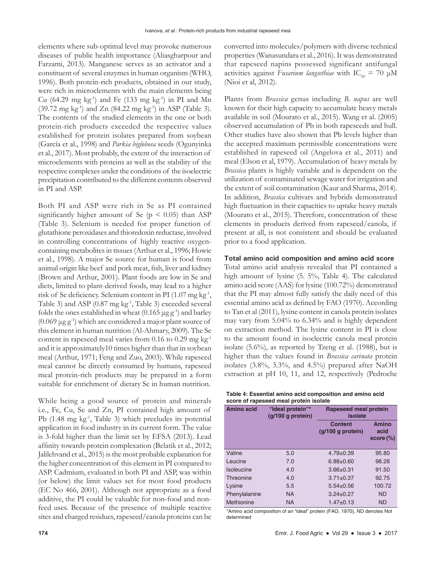elements where sub-optimal level may provoke numerous diseases of public health importance (Aliasgharpour and Farzami, 2013). Manganese serves as an activator and a constituent of several enzymes in human organism (WHO, 1996). Both protein-rich products, obtained in our study, were rich in microelements with the main elements being Cu (64.29 mg kg<sup>-1</sup>) and Fe (133 mg kg<sup>-1</sup>) in PI and Mn  $(39.72 \text{ mg kg}^{-1})$  and  $Zn$   $(84.22 \text{ mg kg}^{-1})$  in ASP (Table 3). The contents of the studied elements in the one or both protein-rich products exceeded the respective values established for protein isolates prepared from soybean (García et al., 1998) and *Parkia biglobosa* seeds (Ogunyinka et al., 2017). Most probably, the extent of the interaction of microelements with proteins as well as the stability of the respective complexes under the conditions of the isoelectric precipitation contributed to the different contents observed in PI and ASP.

Both PI and ASP were rich in Se as PI contained significantly higher amount of Se ( $p < 0.05$ ) than ASP (Table 3). Selenium is needed for proper function of glutathione peroxidases and thioredoxin reductase, involved in controlling concentrations of highly reactive oxygencontaining metabolites in tissues (Arthur et al., 1996; Howie et al., 1998). A major Se source for human is food from animal origin like beef and pork meat, fish, liver and kidney (Brown and Arthur, 2001). Plant foods are low in Se and diets, limited to plant-derived foods, may lead to a higher risk of Se deficiency. Selenium content in PI (1.07 mg kg<sup>-1</sup>, Table 3) and ASP (0.87 mg kg-1, Table 3) exceeded several folds the ones established in wheat  $(0.165 \,\mu g \,g^{-1})$  and barley  $(0.069 \,\mu\text{g}\,\text{g}^{-1})$  which are considered a major plant source of this element in human nutrition (Al-Ahmary, 2009). The Se content in rapeseed meal varies from 0.16 to 0.29 mg kg<sup>-1</sup> and it is approximately10 times higher than that in soybean meal (Arthur, 1971; Feng and Zuo, 2003). While rapeseed meal cannot be directly consumed by humans, rapeseed meal protein-rich products may be prepared in a form suitable for enrichment of dietary Se in human nutrition.

While being a good source of protein and minerals i.e., Fe, Cu, Se and Zn, PI contained high amount of Pb (1.48 mg kg<sup>-1</sup>, Table 3) which precludes its potential application in food industry in its current form. The value is 3-fold higher than the limit set by EFSA (2013). Lead affinity towards protein complexation (Belatik et al., 2012; Jalilehvand et al., 2015) is the most probable explanation for the higher concentration of this element in PI compared to ASP. Cadmium, evaluated in both PI and ASP, was within (or below) the limit values set for most food products (EC No 466, 2001). Although not appropriate as a food additive, the PI could be valuable for non-food and nonfeed uses. Because of the presence of multiple reactive sites and charged residues, rapeseed/canola proteins can be converted into molecules/polymers with diverse technical properties (Wanasundara et al., 2016). It was demonstrated that rapeseed napins possessed significant antifungal activities against *Fusarium langsethiae* with  $IC_{50} = 70 \mu M$ (Nioi et al, 2012).

Plants from *Brassica* genus including *B. napus* are well known for their high capacity to accumulate heavy metals available in soil (Mourato et al., 2015). Wang et al. (2005) observed accumulation of Pb in both rapeseeds and hull. Other studies have also shown that Pb levels higher than the accepted maximum permissible concentrations were established in rapeseed oil (Angelova et al., 2011) and meal (Elson et al, 1979). Accumulation of heavy metals by *Brassica* plants is highly variable and is dependent on the utilization of contaminated sewage water for irrigation and the extent of soil contamination (Kaur and Sharma, 2014). In addition, *Brassica* cultivars and hybrids demonstrated high fluctuation in their capacities to uptake heavy metals (Mourato et al., 2015). Therefore, concentration of these elements in products derived from rapeseed/canola, if present at all, is not consistent and should be evaluated prior to a food application.

#### **Total amino acid composition and amino acid score**

Total amino acid analysis revealed that PI contained a high amount of lysine (5. 5%, Table 4). The calculated amino acid score (AAS) for lysine (100.72%) demonstrated that the PI may almost fully satisfy the daily need of this essential amino acid as defined by FAO (1970). According to Tan et al (2011), lysine content in canola protein isolates may vary from 5.04% to 6.34% and is highly dependent on extraction method. The lysine content in PI is close to the amount found in isoelectric canola meal protein isolate (5.6%), as reported by Tzeng et al. (1988), but is higher than the values found in *Brassica carinata* protein isolates (3.8%, 3.3%, and 4.5%) prepared after NaOH extraction at pH 10, 11, and 12, respectively (Pedroche

| Table 4: Essential amino acid composition and amino acid |  |
|----------------------------------------------------------|--|
| score of rapeseed meal protein isolate                   |  |

| Amino acid    | "Ideal protein"*<br>$(g/100 g)$ protein) | Rapeseed meal protein<br>isolate       |                                      |
|---------------|------------------------------------------|----------------------------------------|--------------------------------------|
|               |                                          | <b>Content</b><br>$(q/100 q)$ protein) | <b>Amino</b><br>acid<br>$score (\%)$ |
| Valine        | 5.0                                      | $4.79 \pm 0.39$                        | 95.80                                |
| Leucine       | 7.0                                      | $6.88 + 0.60$                          | 98.28                                |
| Isoleucine    | 4.0                                      | $3.66 + 0.31$                          | 91.50                                |
| Threonine     | 4.0                                      | $3.71 \pm 0.37$                        | 92.75                                |
| Lysine        | 5.5                                      | $5.54 + 0.56$                          | 100.72                               |
| Phenylalanine | <b>NA</b>                                | $3.24 + 0.27$                          | <b>ND</b>                            |
| Methionine    | <b>NA</b>                                | $1.47 \pm 0.13$                        | <b>ND</b>                            |

\*Amino acid composition of an "ideal" protein (FAO, 1970), ND denotes Not determined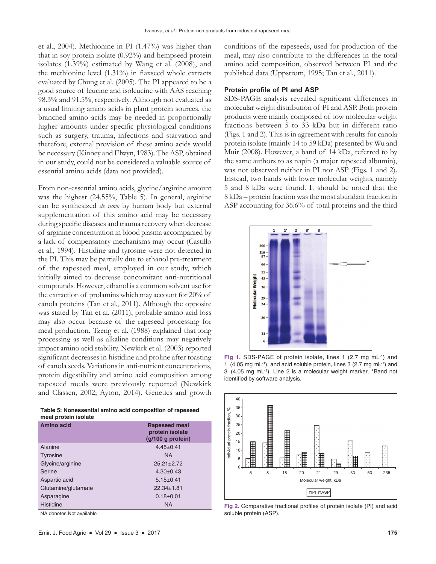et al., 2004). Methionine in PI (1.47%) was higher than that in soy protein isolate (0.92%) and hempseed protein isolates (1.39%) estimated by Wang et al. (2008), and the methionine level (1.31%) in flaxseed whole extracts evaluated by Chung et al. (2005). The PI appeared to be a good source of leucine and isoleucine with AAS reaching 98.3% and 91.5%, respectively. Although not evaluated as a usual limiting amino acids in plant protein sources, the branched amino acids may be needed in proportionally higher amounts under specific physiological conditions such as surgery, trauma, infections and starvation and therefore, external provision of these amino acids would be necessary (Kinney and Elwyn, 1983). The ASP, obtained in our study, could not be considered a valuable source of essential amino acids (data not provided).

From non-essential amino acids, glycine/arginine amount was the highest (24.55%, Table 5). In general, arginine can be synthesized *de novo* by human body but external supplementation of this amino acid may be necessary during specific diseases and trauma recovery when decrease of arginine concentration in blood plasma accompanied by a lack of compensatory mechanisms may occur (Castillo et al., 1994). Histidine and tyrosine were not detected in the PI. This may be partially due to ethanol pre-treatment of the rapeseed meal, employed in our study, which initially aimed to decrease concomitant anti-nutritional compounds. However, ethanol is a common solvent use for the extraction of prolamins which may account for 20% of canola proteins (Tan et al., 2011). Although the opposite was stated by Tan et al. (2011), probable amino acid loss may also occur because of the rapeseed processing for meal production. Tzeng et al. (1988) explained that long processing as well as alkaline conditions may negatively impact amino acid stability. Newkirk et al. (2003) reported significant decreases in histidine and proline after toasting of canola seeds. Variations in anti-nutrient concentrations, protein digestibility and amino acid composition among rapeseed meals were previously reported (Newkirk and Classen, 2002; Ayton, 2014). Genetics and growth

**Table 5: Nonessential amino acid composition of rapeseed meal protein isolate**

| Amino acid          | <b>Rapeseed meal</b><br>protein isolate<br>$(g/100 g)$ protein) |
|---------------------|-----------------------------------------------------------------|
| Alanine             | $4.45 \pm 0.41$                                                 |
| Tyrosine            | <b>NA</b>                                                       |
| Glycine/arginine    | $25.21 \pm 2.72$                                                |
| Serine              | $4.30+0.43$                                                     |
| Aspartic acid       | $5.15 \pm 0.41$                                                 |
| Glutamine/glutamate | $22.34 \pm 1.81$                                                |
| Asparagine          | $0.18+0.01$                                                     |
| <b>Histidine</b>    | <b>NA</b>                                                       |

NA denotes Not available

conditions of the rapeseeds, used for production of the meal, may also contribute to the differences in the total amino acid composition, observed between PI and the published data (Uppstrom, 1995; Tan et al., 2011).

#### **Protein profile of PI and ASP**

SDS-PAGE analysis revealed significant differences in molecular weight distribution of PI and ASP. Both protein products were mainly composed of low molecular weight fractions between 5 to 33 kDa but in different ratio (Figs. 1 and 2). This is in agreement with results for canola protein isolate (mainly 14 to 59 kDa) presented by Wu and Muir (2008). However, a band of 14 kDa, referred to by the same authors to as napin (a major rapeseed albumin), was not observed neither in PI nor ASP (Figs. 1 and 2). Instead, two bands with lower molecular weights, namely 5 and 8 kDa were found. It should be noted that the 8 kDa – protein fraction was the most abundant fraction in ASP accounting for 36.6% of total proteins and the third



Fig 1. SDS-PAGE of protein isolate, lines 1 (2.7 mg mL<sup>-1</sup>) and 1' (4.05 mg mL-1), and acid soluble protein, lines 3 (2.7 mg mL-1) and 3' (4.05 mg mL-1). Line 2 is a molecular weight marker. \*Band not identified by software analysis.



**Fig 2.** Comparative fractional profiles of protein isolate (PI) and acid soluble protein (ASP).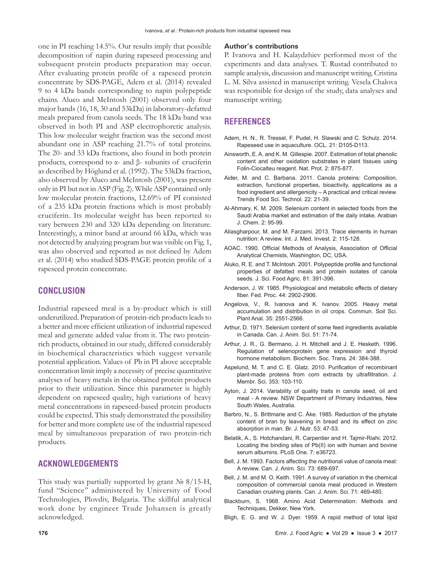one in PI reaching 14.5%. Our results imply that possible decomposition of napin during rapeseed processing and subsequent protein products preparation may occur. After evaluating protein profile of a rapeseed protein concentrate by SDS-PAGE, Adem et al. (2014) revealed 9 to 4 kDa bands corresponding to napin polypeptide chains. Aluco and McIntosh (2001) observed only four major bands (16, 18, 30 and 53kDa) in laboratory-defatted meals prepared from canola seeds. The 18 kDa band was observed in both PI and ASP electrophoretic analysis. This low molecular weight fraction was the second most abundant one in ASP reaching 21.7% of total proteins. The 20- and 33 kDa fractions, also found in both protein products, correspond to α- and β- subunits of cruciferin as described by Höglund et al. (1992). The 53kDa fraction, also observed by Aluco and McIntosh (2001), was present only in PI but not in ASP (Fig. 2). While ASP contained only low molecular protein fractions, 12.69% of PI consisted of a 235 kDa protein fractions which is most probably cruciferin. Its molecular weight has been reported to vary between 230 and 320 kDa depending on literature. Interestingly, a minor band at around 66 kDa, which was not detected by analyzing program but was visible on Fig. 1, was also observed and reported as not defined by Adem et al. (2014) who studied SDS-PAGE protein profile of a rapeseed protein concentrate.

## **CONCLUSION**

Industrial rapeseed meal is a by-product which is still underutilized. Preparation of protein-rich products leads to a better and more efficient utilization of industrial rapeseed meal and generate added value from it. The two proteinrich products, obtained in our study, differed considerably in biochemical characteristics which suggest versatile potential application. Values of Pb in PI above acceptable concentration limit imply a necessity of precise quantitative analyses of heavy metals in the obtained protein products prior to their utilization. Since this parameter is highly dependent on rapeseed quality, high variations of heavy metal concentrations in rapeseed-based protein products could be expected. This study demonstrated the possibility for better and more complete use of the industrial rapeseed meal by simultaneous preparation of two protein-rich products.

## **ACKNOWLEDGEMENTS**

This study was partially supported by grant № 8/15-H, fund "Science" administered by University of Food Technologies, Plovdiv, Bulgaria. The skillful analytical work done by engineer Trude Johansen is greatly acknowledged.

#### **Author's contributions**

P. Ivanova and H. Kalaydzhiev performed most of the experiments and data analyses. T. Rustad contributed to sample analysis, discussion and manuscript writing. Cristina L. M. Silva assisted in manuscript writing. Vesela Chalova was responsible for design of the study, data analyses and manuscript writing.

## **REFERENCES**

- Adem, H. N., R. Tressel, F. Pudel, H. Slawski and C. Schulz. 2014. Rapeseed use in aquaculture. OCL. 21: D105-D113.
- Ainsworth, E. A. and K. M. Gillespie. 2007. Estimation of total phenolic content and other oxidation substrates in plant tissues using Folin-Ciocalteu reagent. Nat. Prot. 2: 875-877.
- Aider, M. and C. Barbana. 2011. Canola proteins: Composition, extraction, functional properties, bioactivity, applications as a food ingredient and allergenicity – A practical and critical review. Trends Food Sci. Technol. 22: 21-39.
- Al-Ahmary, K. M. 2009. Selenium content in selected foods from the Saudi Arabia market and estimation of the daily intake. Arabian J. Chem. 2: 95-99.
- Aliasgharpour, M. and M. Farzami. 2013. Trace elements in human nutrition: A review. Int. J. Med. Invest. 2: 115-128.
- AOAC. 1990. Official Methods of Analysis, Association of Official Analytical Chemists, Washington, DC, USA.
- Aluko, R. E. and T. McIntosh. 2001. Polypeptide profile and functional properties of defatted meals and protein isolates of canola seeds. J. Sci. Food Agric. 81: 391-396.
- Anderson, J. W. 1985. Physiological and metabolic effects of dietary fiber. Fed. Proc. 44: 2902-2906.
- Angelova, V., R. Ivanova and K. Ivanov. 2005. Heavy metal accumulation and distribution in oil crops. Commun. Soil Sci. Plant Anal. 35: 2551-2566.
- Arthur, D. 1971. Selenium content of some feed ingredients available in Canada. Can. J. Anim. Sci. 51: 71-74.
- Arthur, J. R., G. Bermano, J. H. Mitchell and J. E. Hesketh. 1996. Regulation of selenoprotein gene expression and thyroid hormone metabolism. Biochem. Soc. Trans. 24: 384-388.
- Aspelund, M. T. and C. E. Glatz. 2010. Purification of recombinant plant-made proteins from corn extracts by ultrafiltration. J. Membr. Sci. 353: 103-110.
- Ayton, J. 2014. Variability of quality traits in canola seed, oil and meal - A review. NSW Department of Primary Industries, New South Wales, Australia.
- Barbro, N., S. Brittmarie and C. Åke. 1985. Reduction of the phytate content of bran by leavening in bread and its effect on zinc absorption in man. Br. J. Nutr. 53: 47-53.
- Belatik, A., S. Hotchandani, R. Carpentier and H. Tajmir-Riahi. 2012. Locating the binding sites of Pb(II) ion with human and bovine serum albumins. PLoS One. 7: e36723.
- Bell, J. M. 1993. Factors affecting the nutritional value of canola meal: A review. Can. J. Anim. Sci. 73: 689-697.
- Bell, J. M. and M. O. Keith. 1991. A survey of variation in the chemical composition of commercial canola meal produced in Western Canadian crushing plants. Can. J. Anim. Sci. 71: 469-480.
- Blackburn, S. 1968. Amino Acid Determination: Methods and Techniques, Dekker, New York.
- Bligh, E. G. and W. J. Dyer. 1959. A rapid method of total lipid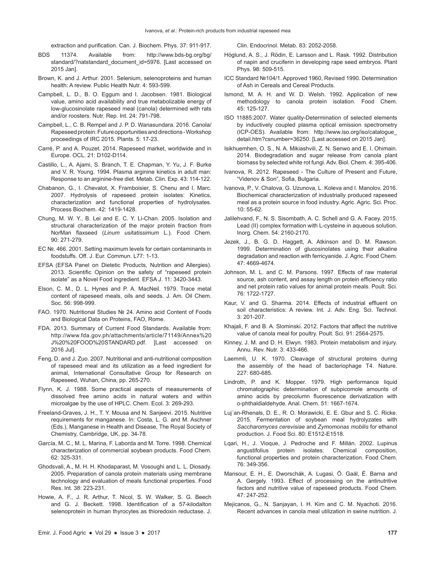extraction and purification. Can. J. Biochem. Phys. 37: 911-917.

- BDS 11374. Available from: http://www.bds-bg.org/bg/ standard/?natstandard\_document\_id=5976. [Last accessed on 2015 Jan].
- Brown, K. and J. Arthur. 2001. Selenium, selenoproteins and human health: A review. Public Health Nutr. 4: 593-599.
- Campbell, L. D., B. O. Eggum and I. Jacobsen. 1981. Biological value, amino acid availability and true metabolizable energy of low-glucosinolate rapeseed meal (canola) determined with rats and/or roosters. Nutr. Rep. Int. 24: 791-798.
- Campbell, L., C. B. Rempel and J. P. D. Wanasundara. 2016. Canola/ Rapeseed protein: Future opportunities and directions -Workshop proceedings of IRC 2015. Plants. 5: 17-23.
- Carré, P. and A. Pouzet. 2014. Rapeseed market, worldwide and in Europe. OCL. 21: D102-D114.
- Castillo, L., A. Ajami, S. Branch, T. E. Chapman, Y. Yu, J. F. Burke and V. R. Young. 1994. Plasma arginine kinetics in adult man: Response to an arginine-free diet. Metab. Clin. Exp. 43: 114-122.
- Chabanon, G., I. Chevalot, X. Framboisier, S. Chenu and I. Marc. 2007. Hydrolysis of rapeseed protein isolates: Kinetics, characterization and functional properties of hydrolysates. Process Biochem. 42: 1419-1428.
- Chung, M. W. Y., B. Lei and E. C. Y. Li-Chan. 2005. Isolation and structural characterization of the major protein fraction from NorMan flaxseed (*Linum usitatissimum* L.). Food Chem. 90: 271-279.
- EC №. 466. 2001. Setting maximum levels for certain contaminants in foodstuffs. Off. J. Eur. Commun. L77: 1-13.
- EFSA (EFSA Panel on Dietetic Products, Nutrition and Allergies). 2013. Scientific Opinion on the safety of "rapeseed protein isolate" as a Novel Food ingredient. EFSA J. 11: 3420-3443.
- Elson, C. M., D. L. Hynes and P. A. MacNeil. 1979. Trace metal content of rapeseed meals, oils and seeds. J. Am. Oil Chem. Soc. 56: 998-999.
- FAO. 1970. Nutritional Studies № 24. Amino acid Content of Foods and Biological Data on Proteins, FAO, Rome.
- FDA. 2013. Summary of Current Food Standards. Available from: http://www.fda.gov.ph/attachments/article/71149/Annex%20 J%20%20FOOD%20STANDARD.pdf. [Last accessed on 2016 Jul].
- Feng, D. and J. Zuo. 2007. Nutritional and anti-nutritional composition of rapeseed meal and its utilization as a feed ingredient for animal, International Consultative Group for Research on Rapeseed, Wuhan, China, pp. 265-270.
- Flynn, K. J. 1988. Some practical aspects of measurements of dissolved free amino acids in natural waters and within microalgae by the use of HPLC. Chem. Ecol. 3: 269-293.
- Freeland-Graves, J. H., T. Y. Mousa and N. Sanjeevi. 2015. Nutritive requirements for manganese. In: Costa, L. G. and M. Aschner (Eds.), Manganese in Health and Disease, The Royal Society of Chemistry, Cambridge, UK, pp. 34-78.
- García, M. C., M. L. Marina, F. Laborda and M. Torre. 1998. Chemical characterization of commercial soybean products. Food Chem. 62: 325-331.
- Ghodsvali, A., M. H. H. Khodaparast, M. Vosoughi and L. L. Diosady. 2005. Preparation of canola protein materials using membrane technology and evaluation of meals functional properties. Food Res. Int. 38: 223-231.
- Howie, A. F., J. R. Arthur, T. Nicol, S. W. Walker, S. G. Beech and G. J. Beckett. 1998. Identification of a 57-kilodalton selenoprotein in human thyrocytes as thioredoxin reductase. J.

Clin. Endocrinol. Metab. 83: 2052-2058.

- Höglund, A. S., J. Rödin, E. Larsson and L. Rask. 1992. Distribution of napin and cruciferin in developing rape seed embryos. Plant Phys. 98: 509-515.
- ICC Standard №104/1. Approved 1960, Revised 1990. Determination of Ash in Cereals and Cereal Products.
- Ismond, M. A. H. and W. D. Welsh. 1992. Application of new methodology to canola protein isolation. Food Chem. 45: 125-127.
- ISO 11885:2007. Water quality-Determination of selected elements by inductively coupled plasma optical emission spectrometry (ICP-OES). Available from: http://www.iso.org/iso/catalogue\_ detail.htm?csnumber=36250. [Last accessed on 2015 Jan].
- Isikhuemhen, O. S., N. A. Mikiashvili, Z. N. Senwo and E. I. Ohimain. 2014. Biodegradation and sugar release from canola plant biomass by selected white rot fungi. Adv. Biol. Chem. 4: 395-406.
- Ivanova, R. 2012. Rapeseed The Culture of Present and Future, "Videnov & Son", Sofia, Bulgaria.
- Ivanova, P., V. Chalova, G. Uzunova, L. Koleva and I. Manolov. 2016. Biochemical characterization of industrially produced rapeseed meal as a protein source in food industry. Agric. Agric. Sci. Proc.  $10: 55-62.$
- Jalilehvand, F., N. S. Sisombath, A. C. Schell and G. A. Facey. 2015. Lead (II) complex formation with L-cysteine in aqueous solution. Inorg. Chem. 54: 2160-2170.
- Jezek, J., B. G. D. Haggett, A. Atkinson and D. M. Rawson. 1999. Determination of glucosinolates using their alkaline degradation and reaction with ferricyanide. J. Agric. Food Chem. 47: 4669-4674.
- Johnson, M. L. and C. M. Parsons. 1997. Effects of raw material source, ash content, and assay length on protein efficiency ratio and net protein ratio values for animal protein meals. Poult. Sci. 76: 1722-1727.
- Kaur, V. and G. Sharma. 2014. Effects of industrial effluent on soil characteristics: A review. Int. J. Adv. Eng. Sci. Technol. 3: 201-207.
- Khajali, F. and B. A. Slominski. 2012. Factors that affect the nutritive value of canola meal for poultry. Poult. Sci. 91: 2564-2575.
- Kinney, J. M. and D. H. Elwyn. 1983. Protein metabolism and injury. Annu. Rev. Nutr. 3: 433-466.
- Laemmli, U. K. 1970. Cleavage of structural proteins during the assembly of the head of bacteriophage T4. Nature. 227: 680-685.
- Lindroth, P. and K. Mopper. 1979. High performance liquid chromatographic determination of subpicomole amounts of amino acids by precolumn fluorescence derivatization with o-phthaldialdehyde. Anal. Chem. 51: 1667-1674.
- Luj´an-Rhenals, D. E., R. O. Morawicki, E. E. Gbur and S. C. Ricke. 2015. Fermentation of soybean meal hydrolyzates with *Saccharomyces cerevisiae* and *Zymomonas mobilis* for ethanol production. J. Food Sci. 80: E1512-E1518.
- Lqari, H., J. Vioque, J. Pedroche and F. Millán. 2002. Lupinus angustifolius protein isolates: Chemical composition, functional properties and protein characterization. Food Chem. 76: 349-356.
- Mansour, E. H., E. Dworschák, A. Lugasi, Ö. Gaál, É. Barna and A. Gergely. 1993. Effect of processing on the antinutritive factors and nutritive value of rapeseed products. Food Chem. 47: 247-252.
- Mejicanos, G., N. Sanjayan, I. H. Kim and C. M. Nyachoti. 2016. Recent advances in canola meal utilization in swine nutrition. J.